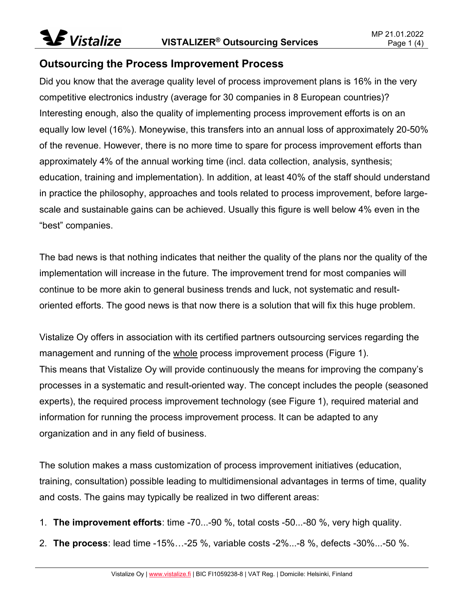#### Outsourcing the Process Improvement Process

Did you know that the average quality level of process improvement plans is 16% in the very competitive electronics industry (average for 30 companies in 8 European countries)? Interesting enough, also the quality of implementing process improvement efforts is on an equally low level (16%). Moneywise, this transfers into an annual loss of approximately 20-50% of the revenue. However, there is no more time to spare for process improvement efforts than approximately 4% of the annual working time (incl. data collection, analysis, synthesis; education, training and implementation). In addition, at least 40% of the staff should understand in practice the philosophy, approaches and tools related to process improvement, before largescale and sustainable gains can be achieved. Usually this figure is well below 4% even in the "best" companies.

The bad news is that nothing indicates that neither the quality of the plans nor the quality of the implementation will increase in the future. The improvement trend for most companies will continue to be more akin to general business trends and luck, not systematic and resultoriented efforts. The good news is that now there is a solution that will fix this huge problem.

Vistalize Oy offers in association with its certified partners outsourcing services regarding the management and running of the whole process improvement process (Figure 1). This means that Vistalize Oy will provide continuously the means for improving the company's processes in a systematic and result-oriented way. The concept includes the people (seasoned experts), the required process improvement technology (see Figure 1), required material and information for running the process improvement process. It can be adapted to any organization and in any field of business.

The solution makes a mass customization of process improvement initiatives (education, training, consultation) possible leading to multidimensional advantages in terms of time, quality and costs. The gains may typically be realized in two different areas:

- 1. The improvement efforts: time -70...-90 %, total costs -50...-80 %, very high quality.
- 2. The process: lead time -15%…-25 %, variable costs -2%...-8 %, defects -30%...-50 %.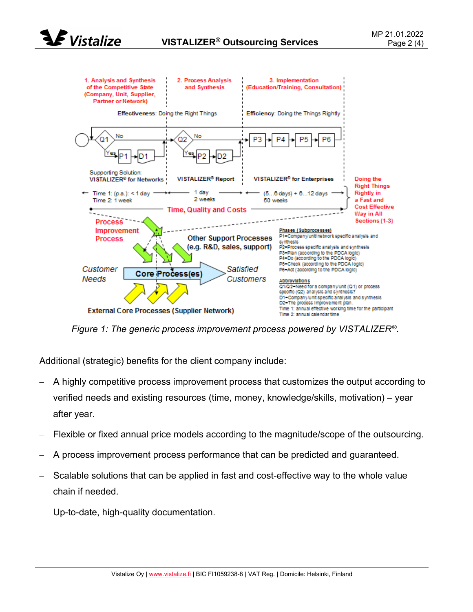



Figure 1: The generic process improvement process powered by VISTALIZER<sup>®</sup>.

Additional (strategic) benefits for the client company include:

- A highly competitive process improvement process that customizes the output according to verified needs and existing resources (time, money, knowledge/skills, motivation) – year after year.
- Flexible or fixed annual price models according to the magnitude/scope of the outsourcing.
- A process improvement process performance that can be predicted and guaranteed.
- Scalable solutions that can be applied in fast and cost-effective way to the whole value chain if needed.
- Up-to-date, high-quality documentation.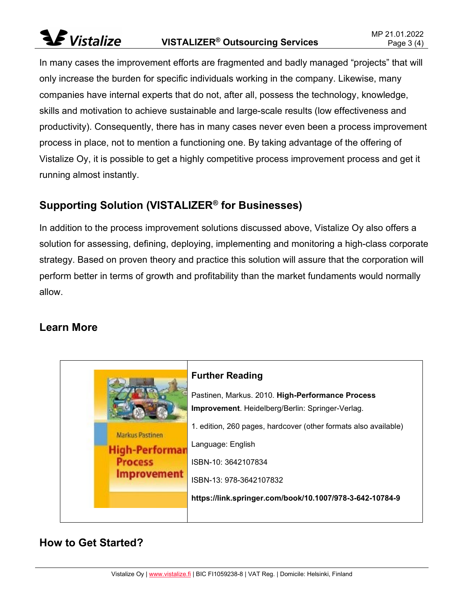# **S** Vistalize

In many cases the improvement efforts are fragmented and badly managed "projects" that will only increase the burden for specific individuals working in the company. Likewise, many companies have internal experts that do not, after all, possess the technology, knowledge, skills and motivation to achieve sustainable and large-scale results (low effectiveness and productivity). Consequently, there has in many cases never even been a process improvement process in place, not to mention a functioning one. By taking advantage of the offering of Vistalize Oy, it is possible to get a highly competitive process improvement process and get it running almost instantly.

### Supporting Solution (VISTALIZER® for Businesses)

In addition to the process improvement solutions discussed above, Vistalize Oy also offers a solution for assessing, defining, deploying, implementing and monitoring a high-class corporate strategy. Based on proven theory and practice this solution will assure that the corporation will perform better in terms of growth and profitability than the market fundaments would normally allow.

#### Learn More



### How to Get Started?